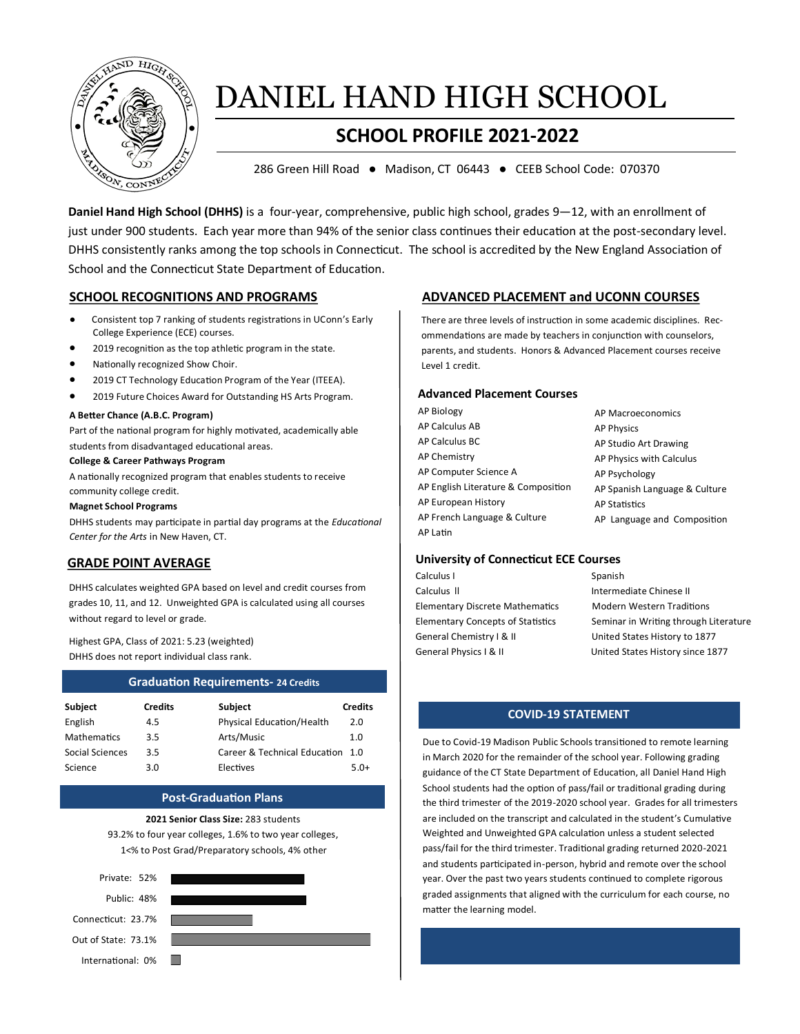

# DANIEL HAND HIGH SCHOOL

## **SCHOOL PROFILE 2021-2022**

286 Green Hill Road ● Madison, CT 06443 ● CEEB School Code: 070370

**Daniel Hand High School (DHHS)** is a four-year, comprehensive, public high school, grades 9—12, with an enrollment of just under 900 students. Each year more than 94% of the senior class continues their education at the post-secondary level. DHHS consistently ranks among the top schools in Connecticut. The school is accredited by the New England Association of School and the Connecticut State Department of Education.

- Consistent top 7 ranking of students registrations in UConn's Early College Experience (ECE) courses.
- 2019 recognition as the top athletic program in the state.
- Nationally recognized Show Choir.
- 2019 CT Technology Education Program of the Year (ITEEA).
- 2019 Future Choices Award for Outstanding HS Arts Program.

#### **A Better Chance (A.B.C. Program)**

Part of the national program for highly motivated, academically able students from disadvantaged educational areas.

#### **College & Career Pathways Program**

A nationally recognized program that enables students to receive community college credit.

#### **Magnet School Programs**

DHHS students may participate in partial day programs at the *Educational Center for the Arts* in New Haven, CT.

### **GRADE POINT AVERAGE**

DHHS calculates weighted GPA based on level and credit courses from grades 10, 11, and 12. Unweighted GPA is calculated using all courses without regard to level or grade.

Highest GPA, Class of 2021: 5.23 (weighted) DHHS does not report individual class rank.

| <b>Graduation Requirements-24 Credits</b> |                |                                  |                |  |
|-------------------------------------------|----------------|----------------------------------|----------------|--|
| <b>Subject</b>                            | <b>Credits</b> | <b>Subject</b>                   | <b>Credits</b> |  |
| English                                   | 4.5            | Physical Education/Health        | 2.0            |  |
| <b>Mathematics</b>                        | 3.5            | Arts/Music                       | 1.0            |  |
| Social Sciences                           | 3.5            | Career & Technical Education 1.0 |                |  |
| Science                                   | 3.0            | Electives                        | $5.0+$         |  |

#### **Post-Graduation Plans**

**2021 Senior Class Size:** 283 students 93.2% to four year colleges, 1.6% to two year colleges, 1<% to Post Grad/Preparatory schools, 4% other



### **SCHOOL RECOGNITIONS AND PROGRAMS ADVANCED PLACEMENT and UCONN COURSES**

There are three levels of instruction in some academic disciplines. Recommendations are made by teachers in conjunction with counselors, parents, and students. Honors & Advanced Placement courses receive Level 1 credit.

#### **Advanced Placement Courses**

| AP Biology                          | AP Macroeconomics             |
|-------------------------------------|-------------------------------|
| AP Calculus AB                      | <b>AP Physics</b>             |
| AP Calculus BC                      | AP Studio Art Drawing         |
| AP Chemistry                        | AP Physics with Calculus      |
| AP Computer Science A               | AP Psychology                 |
| AP English Literature & Composition | AP Spanish Language & Culture |
| AP European History                 | <b>AP Statistics</b>          |
| AP French Language & Culture        | AP Language and Composition   |
| AP Latin                            |                               |

#### **University of Connecticut ECE Courses**

| Calculus I                               | Spanish                               |
|------------------------------------------|---------------------------------------|
| Calculus II                              | Intermediate Chinese II               |
| <b>Elementary Discrete Mathematics</b>   | <b>Modern Western Traditions</b>      |
| <b>Elementary Concepts of Statistics</b> | Seminar in Writing through Literature |
| General Chemistry I & II                 | United States History to 1877         |
| General Physics I & II                   | United States History since 1877      |
|                                          |                                       |

### $COVID-19$  STATEMENT

Due to Covid-19 Madison Public Schools transitioned to remote learning in March 2020 for the remainder of the school year. Following grading guidance of the CT State Department of Education, all Daniel Hand High School students had the option of pass/fail or traditional grading during the third trimester of the 2019-2020 school year. Grades for all trimesters are included on the transcript and calculated in the student's Cumulative Weighted and Unweighted GPA calculation unless a student selected pass/fail for the third trimester. Traditional grading returned 2020-2021 and students participated in-person, hybrid and remote over the school year. Over the past two years students continued to complete rigorous graded assignments that aligned with the curriculum for each course, no matter the learning model.